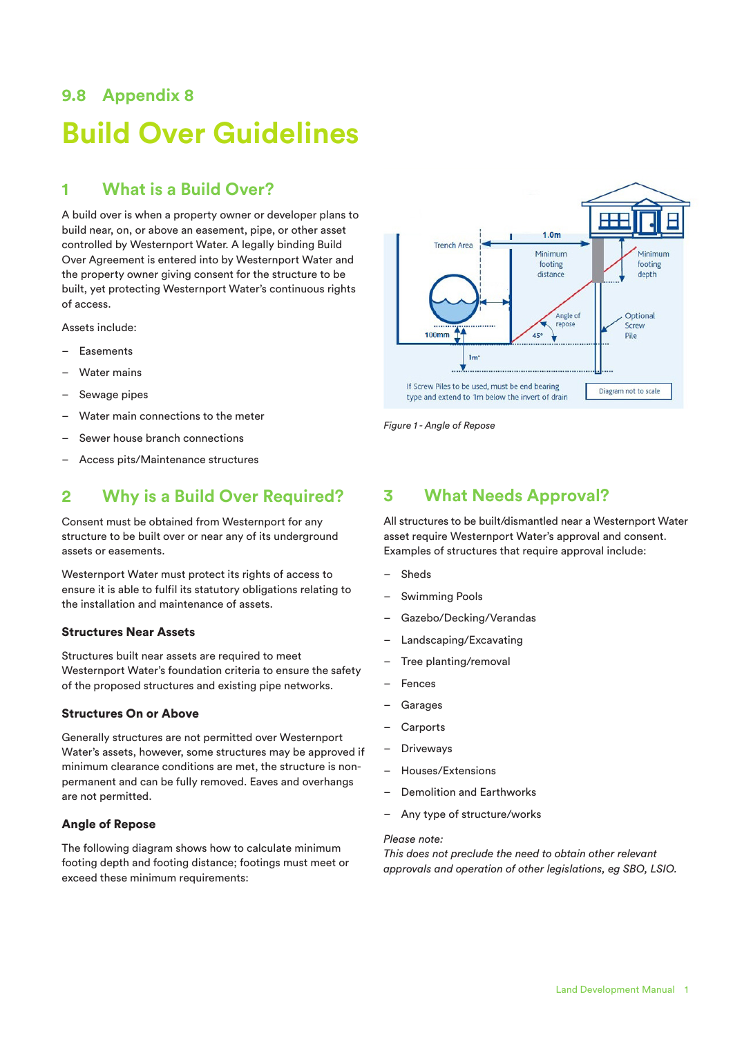# **9.8 Appendix 8 Build Over Guidelines**

# **1 What is a Build Over?**

A build over is when a property owner or developer plans to build near, on, or above an easement, pipe, or other asset controlled by Westernport Water. A legally binding Build Over Agreement is entered into by Westernport Water and the property owner giving consent for the structure to be built, yet protecting Westernport Water's continuous rights of access.

Assets include:

- Easements
- Water mains
- Sewage pipes
- Water main connections to the meter
- Sewer house branch connections
- Access pits/Maintenance structures

# **2 Why is a Build Over Required?**

Consent must be obtained from Westernport for any structure to be built over or near any of its underground assets or easements.

Westernport Water must protect its rights of access to ensure it is able to fulfil its statutory obligations relating to the installation and maintenance of assets.

#### Structures Near Assets

Structures built near assets are required to meet Westernport Water's foundation criteria to ensure the safety of the proposed structures and existing pipe networks.

#### Structures On or Above

Generally structures are not permitted over Westernport Water's assets, however, some structures may be approved if minimum clearance conditions are met, the structure is nonpermanent and can be fully removed. Eaves and overhangs are not permitted.

#### Angle of Repose

The following diagram shows how to calculate minimum footing depth and footing distance; footings must meet or exceed these minimum requirements:



*Figure 1 - Angle of Repose*

## **3 What Needs Approval?**

All structures to be built/dismantled near a Westernport Water asset require Westernport Water's approval and consent. Examples of structures that require approval include:

- **Sheds**
- Swimming Pools
- Gazebo/Decking/Verandas
- Landscaping/Excavating
- Tree planting/removal
- **Fences**
- **Garages**
- **Carports**
- **Driveways**
- Houses/Extensions
- Demolition and Earthworks
- Any type of structure/works

#### *Please note:*

*This does not preclude the need to obtain other relevant approvals and operation of other legislations, eg SBO, LSIO.*